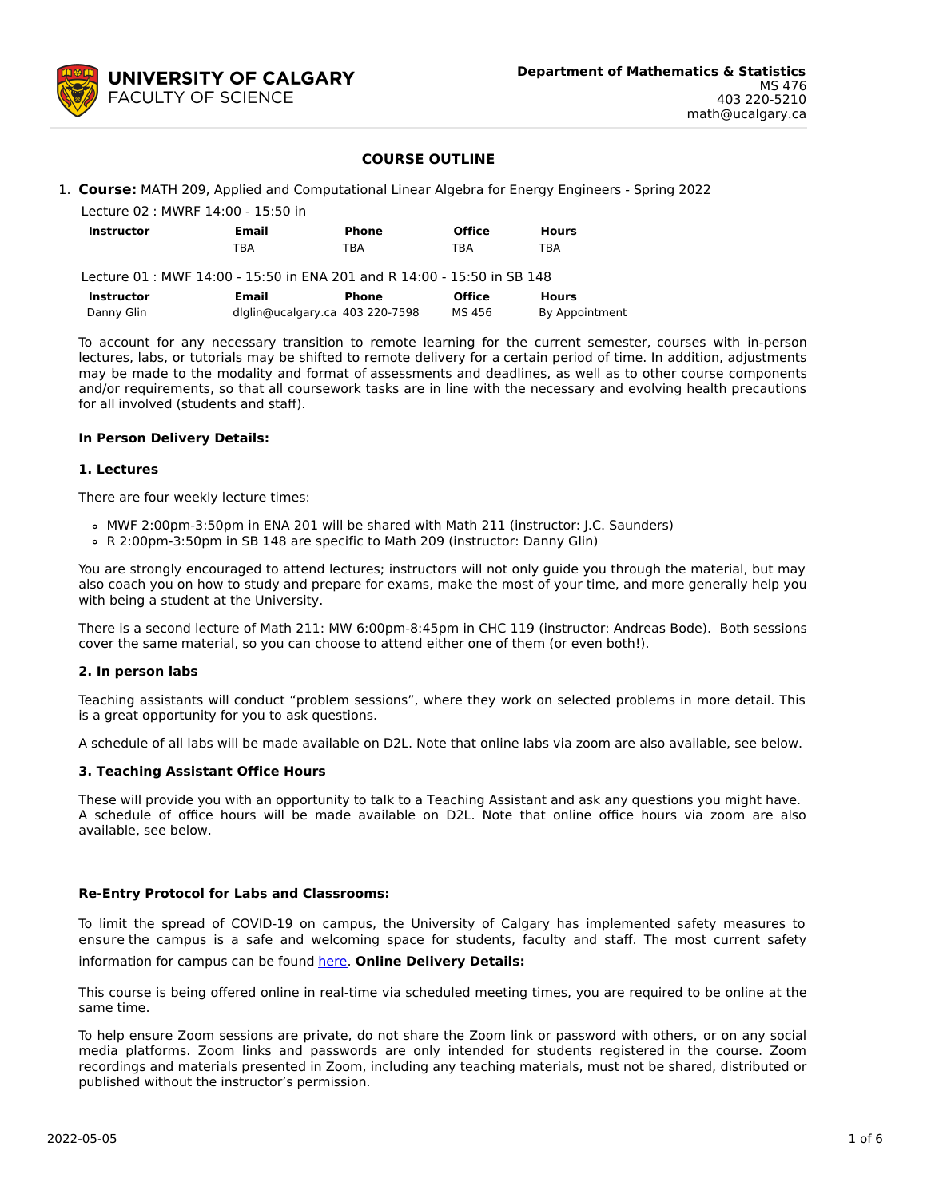

# **COURSE OUTLINE**

| 1. Course: MATH 209, Applied and Computational Linear Algebra for Energy Engineers - Spring 2022 |  |  |  |
|--------------------------------------------------------------------------------------------------|--|--|--|
|                                                                                                  |  |  |  |

| Lecture 02 : MWRF 14:00 - 15:50 in |                                                                         |                                 |               |                       |
|------------------------------------|-------------------------------------------------------------------------|---------------------------------|---------------|-----------------------|
| <b>Instructor</b>                  | Email                                                                   | <b>Phone</b>                    | <b>Office</b> | <b>Hours</b>          |
|                                    | TBA                                                                     | TBA                             | TRA           | TBA                   |
|                                    | Lecture 01 : MWF 14:00 - 15:50 in ENA 201 and R 14:00 - 15:50 in SB 148 |                                 |               |                       |
| <b>Instructor</b>                  | Email                                                                   | Phone                           | <b>Office</b> | <b>Hours</b>          |
| Danny Glin                         |                                                                         | dlglin@ucalgary.ca 403 220-7598 | MS 456        | <b>By Appointment</b> |

To account for any necessary transition to remote learning for the current semester, courses with in-person lectures, labs, or tutorials may be shifted to remote delivery for a certain period of time. In addition, adjustments may be made to the modality and format of assessments and deadlines, as well as to other course components and/or requirements, so that all coursework tasks are in line with the necessary and evolving health precautions for all involved (students and staff).

### **In Person Delivery Details:**

#### **1. Lectures**

There are four weekly lecture times:

- MWF 2:00pm-3:50pm in ENA 201 will be shared with Math 211 (instructor: J.C. Saunders)
- R 2:00pm-3:50pm in SB 148 are specific to Math 209 (instructor: Danny Glin)

You are strongly encouraged to attend lectures; instructors will not only guide you through the material, but may also coach you on how to study and prepare for exams, make the most of your time, and more generally help you with being a student at the University.

There is a second lecture of Math 211: MW 6:00pm-8:45pm in CHC 119 (instructor: Andreas Bode). Both sessions cover the same material, so you can choose to attend either one of them (or even both!).

#### **2. In person labs**

Teaching assistants will conduct "problem sessions", where they work on selected problems in more detail. This is a great opportunity for you to ask questions.

A schedule of all labs will be made available on D2L. Note that online labs via zoom are also available, see below.

### **3. Teaching Assistant Office Hours**

These will provide you with an opportunity to talk to a Teaching Assistant and ask any questions you might have. A schedule of office hours will be made available on D2L. Note that online office hours via zoom are also available, see below.

#### **Re-Entry Protocol for Labs and Classrooms:**

To limit the spread of COVID-19 on campus, the University of Calgary has implemented safety measures to ensure the campus is a safe and welcoming space for students, faculty and staff. The most current safety information for campus can be found [here](https://www.ucalgary.ca/risk/emergency-management/covid-19-response/return-campus-safety). **Online Delivery Details:**

This course is being offered online in real-time via scheduled meeting times, you are required to be online at the same time.

To help ensure Zoom sessions are private, do not share the Zoom link or password with others, or on any social media platforms. Zoom links and passwords are only intended for students registered in the course. Zoom recordings and materials presented in Zoom, including any teaching materials, must not be shared, distributed or published without the instructor's permission.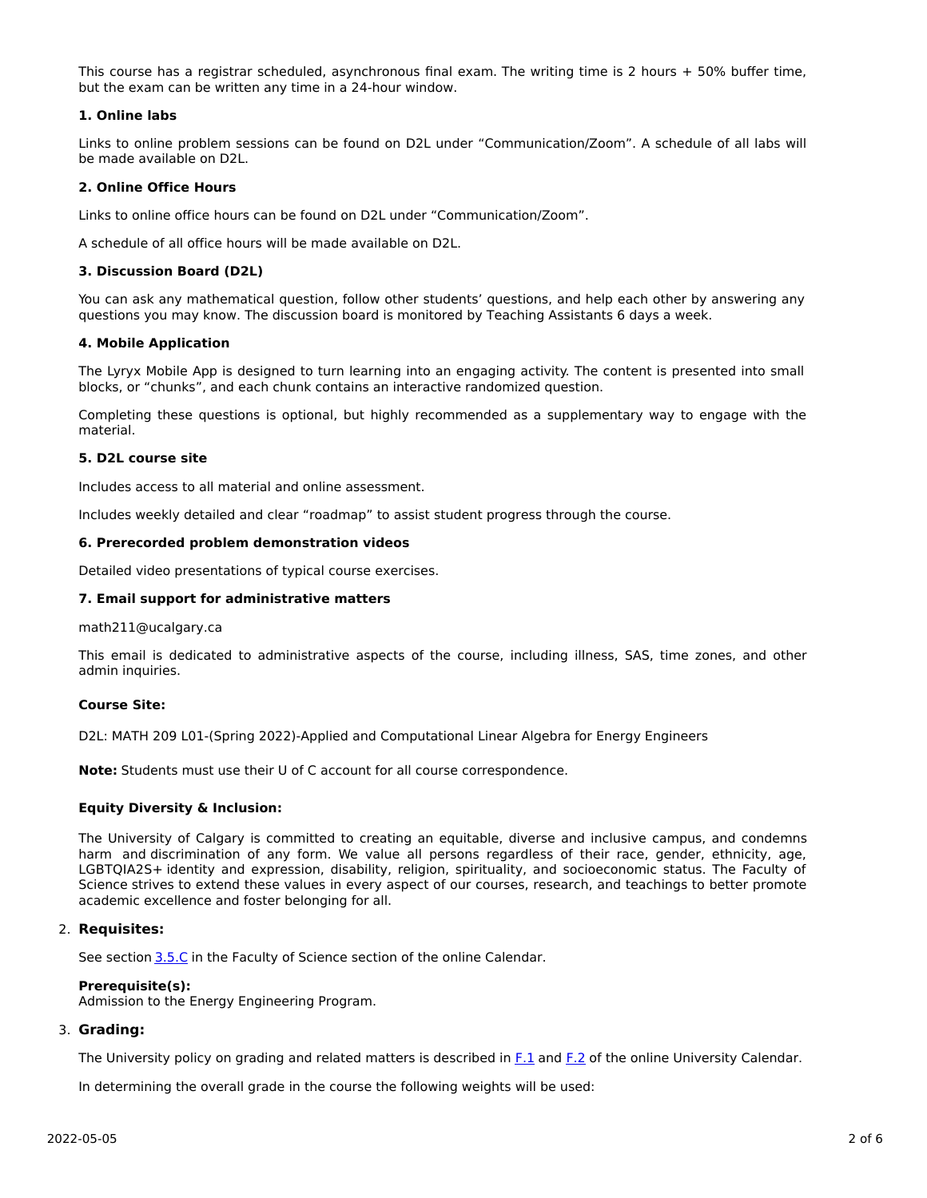This course has a registrar scheduled, asynchronous final exam. The writing time is 2 hours + 50% buffer time, but the exam can be written any time in a 24-hour window.

# **1. Online labs**

Links to online problem sessions can be found on D2L under "Communication/Zoom". A schedule of all labs will be made available on D2L.

# **2. Online Office Hours**

Links to online office hours can be found on D2L under "Communication/Zoom".

A schedule of all office hours will be made available on D2L.

# **3. Discussion Board (D2L)**

You can ask any mathematical question, follow other students' questions, and help each other by answering any questions you may know. The discussion board is monitored by Teaching Assistants 6 days a week.

### **4. Mobile Application**

The Lyryx Mobile App is designed to turn learning into an engaging activity. The content is presented into small blocks, or "chunks", and each chunk contains an interactive randomized question.

Completing these questions is optional, but highly recommended as a supplementary way to engage with the material.

# **5. D2L course site**

Includes access to all material and online assessment.

Includes weekly detailed and clear "roadmap" to assist student progress through the course.

# **6. Prerecorded problem demonstration videos**

Detailed video presentations of typical course exercises.

### **7. Email support for administrative matters**

math211@ucalgary.ca

This email is dedicated to administrative aspects of the course, including illness, SAS, time zones, and other admin inquiries.

#### **Course Site:**

D2L: MATH 209 L01-(Spring 2022)-Applied and Computational Linear Algebra for Energy Engineers

**Note:** Students must use their U of C account for all course correspondence.

# **Equity Diversity & Inclusion:**

The University of Calgary is committed to creating an equitable, diverse and inclusive campus, and condemns harm and discrimination of any form. We value all persons regardless of their race, gender, ethnicity, age, LGBTQIA2S+ identity and expression, disability, religion, spirituality, and socioeconomic status. The Faculty of Science strives to extend these values in every aspect of our courses, research, and teachings to better promote academic excellence and foster belonging for all.

#### 2. **Requisites:**

See section [3.5.C](http://www.ucalgary.ca/pubs/calendar/current/sc-3-5.html) in the Faculty of Science section of the online Calendar.

#### **Prerequisite(s):**

Admission to the Energy Engineering Program.

# 3. **Grading:**

The University policy on grading and related matters is described in [F.1](http://www.ucalgary.ca/pubs/calendar/current/f-1.html) and [F.2](http://www.ucalgary.ca/pubs/calendar/current/f-2.html) of the online University Calendar.

In determining the overall grade in the course the following weights will be used: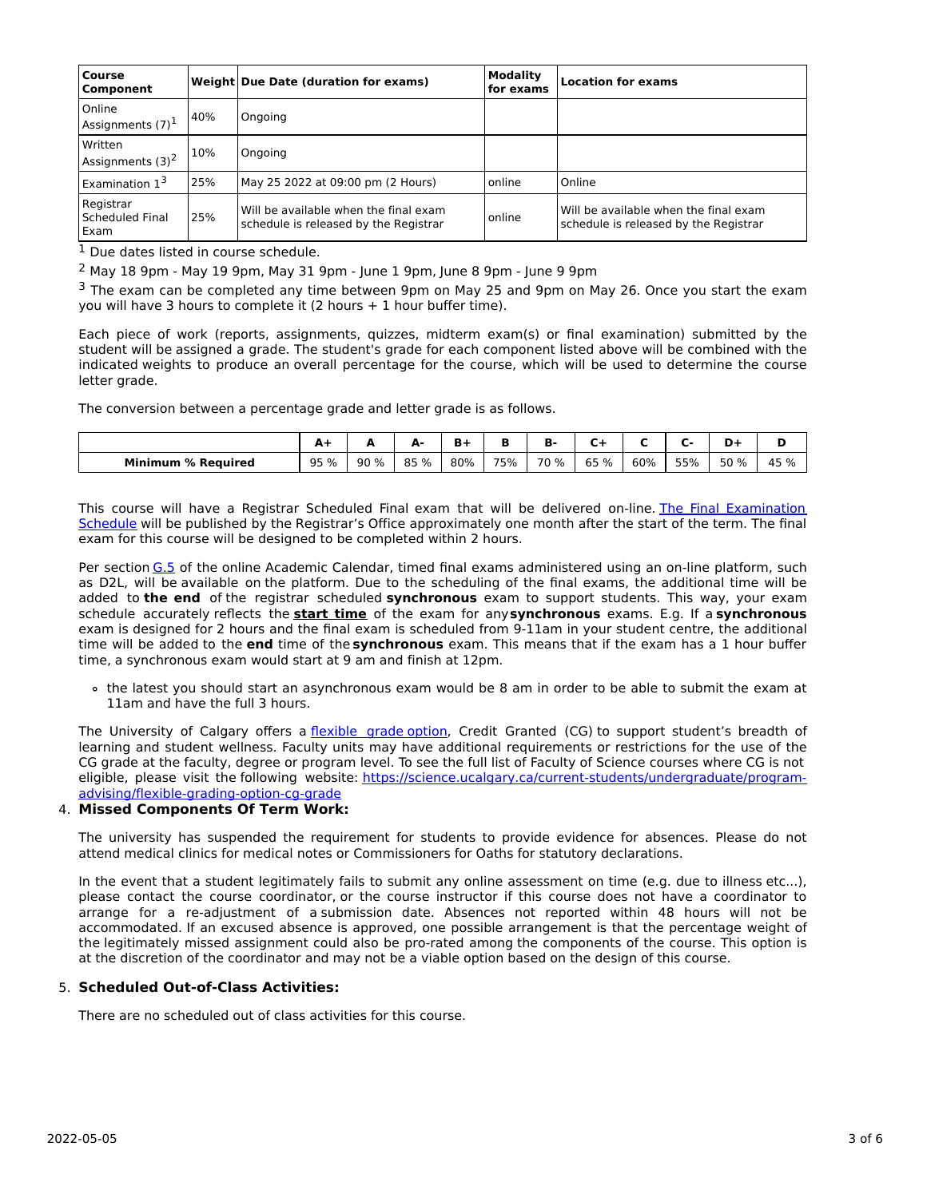| Course<br><b>Component</b>              |     | Weight Due Date (duration for exams)                                           | Modality<br>for exams | <b>Location for exams</b>                                                      |  |  |
|-----------------------------------------|-----|--------------------------------------------------------------------------------|-----------------------|--------------------------------------------------------------------------------|--|--|
| Online<br>Assignments (7) <sup>1</sup>  | 40% | Ongoing                                                                        |                       |                                                                                |  |  |
| Written<br>Assignments (3) <sup>2</sup> | 10% | Ongoing                                                                        |                       |                                                                                |  |  |
| Examination 1 <sup>3</sup>              | 25% | May 25 2022 at 09:00 pm (2 Hours)                                              | online                | Online                                                                         |  |  |
| Registrar<br>Scheduled Final<br>Exam    | 25% | Will be available when the final exam<br>schedule is released by the Registrar | online                | Will be available when the final exam<br>schedule is released by the Registrar |  |  |

<sup>1</sup> Due dates listed in course schedule.

 $2$  May 18 9pm - May 19 9pm, May 31 9pm - June 1 9pm, June 8 9pm - June 9 9pm

 $3$  The exam can be completed any time between 9pm on May 25 and 9pm on May 26. Once you start the exam you will have 3 hours to complete it (2 hours + 1 hour buffer time).

Each piece of work (reports, assignments, quizzes, midterm exam(s) or final examination) submitted by the student will be assigned a grade. The student's grade for each component listed above will be combined with the indicated weights to produce an overall percentage for the course, which will be used to determine the course letter grade.

The conversion between a percentage grade and letter grade is as follows.

|                           | A.        | --   | л.<br>L.   |     |     | . .  |         |     |     |      |           |
|---------------------------|-----------|------|------------|-----|-----|------|---------|-----|-----|------|-----------|
| <b>Minimum % Required</b> | 95 %<br>% | 90 % | 85 %<br>85 | 80% | 75% | 70 % | 65<br>% | 60% | 55% | 50 % | 45 %<br>% |

This course will have a Registrar Scheduled Final exam that will be delivered on-line. The Final Examination Schedule will be published by the Registrar's Office [approximately](https://www.ucalgary.ca/registrar/exams) one month after the start of the term. The final exam for this course will be designed to be completed within 2 hours.

Per section [G.5](https://www.ucalgary.ca/pubs/calendar/current/g-5.html) of the online Academic Calendar, timed final exams administered using an on-line platform, such as D2L, will be available on the platform. Due to the scheduling of the final exams, the additional time will be added to **the end** of the registrar scheduled **synchronous** exam to support students. This way, your exam schedule accurately reflects the **start time** of the exam for any**synchronous** exams. E.g. If a **synchronous** exam is designed for 2 hours and the final exam is scheduled from 9-11am in your student centre, the additional time will be added to the **end** time of the **synchronous** exam. This means that if the exam has a 1 hour buffer time, a synchronous exam would start at 9 am and finish at 12pm.

the latest you should start an asynchronous exam would be 8 am in order to be able to submit the exam at 11am and have the full 3 hours.

The University of Calgary offers a [flexible](https://www.ucalgary.ca/pubs/calendar/current/f-1-3.html) grade option, Credit Granted (CG) to support student's breadth of learning and student wellness. Faculty units may have additional requirements or restrictions for the use of the CG grade at the faculty, degree or program level. To see the full list of Faculty of Science courses where CG is not eligible, please visit the following website: [https://science.ucalgary.ca/current-students/undergraduate/program](https://science.ucalgary.ca/current-students/undergraduate/program-advising/flexible-grading-option-cg-grade)advising/flexible-grading-option-cg-grade

# 4. **Missed Components Of Term Work:**

The university has suspended the requirement for students to provide evidence for absences. Please do not attend medical clinics for medical notes or Commissioners for Oaths for statutory declarations.

In the event that a student legitimately fails to submit any online assessment on time (e.g. due to illness etc...), please contact the course coordinator, or the course instructor if this course does not have a coordinator to arrange for a re-adjustment of a submission date. Absences not reported within 48 hours will not be accommodated. If an excused absence is approved, one possible arrangement is that the percentage weight of the legitimately missed assignment could also be pro-rated among the components of the course. This option is at the discretion of the coordinator and may not be a viable option based on the design of this course.

# 5. **Scheduled Out-of-Class Activities:**

There are no scheduled out of class activities for this course.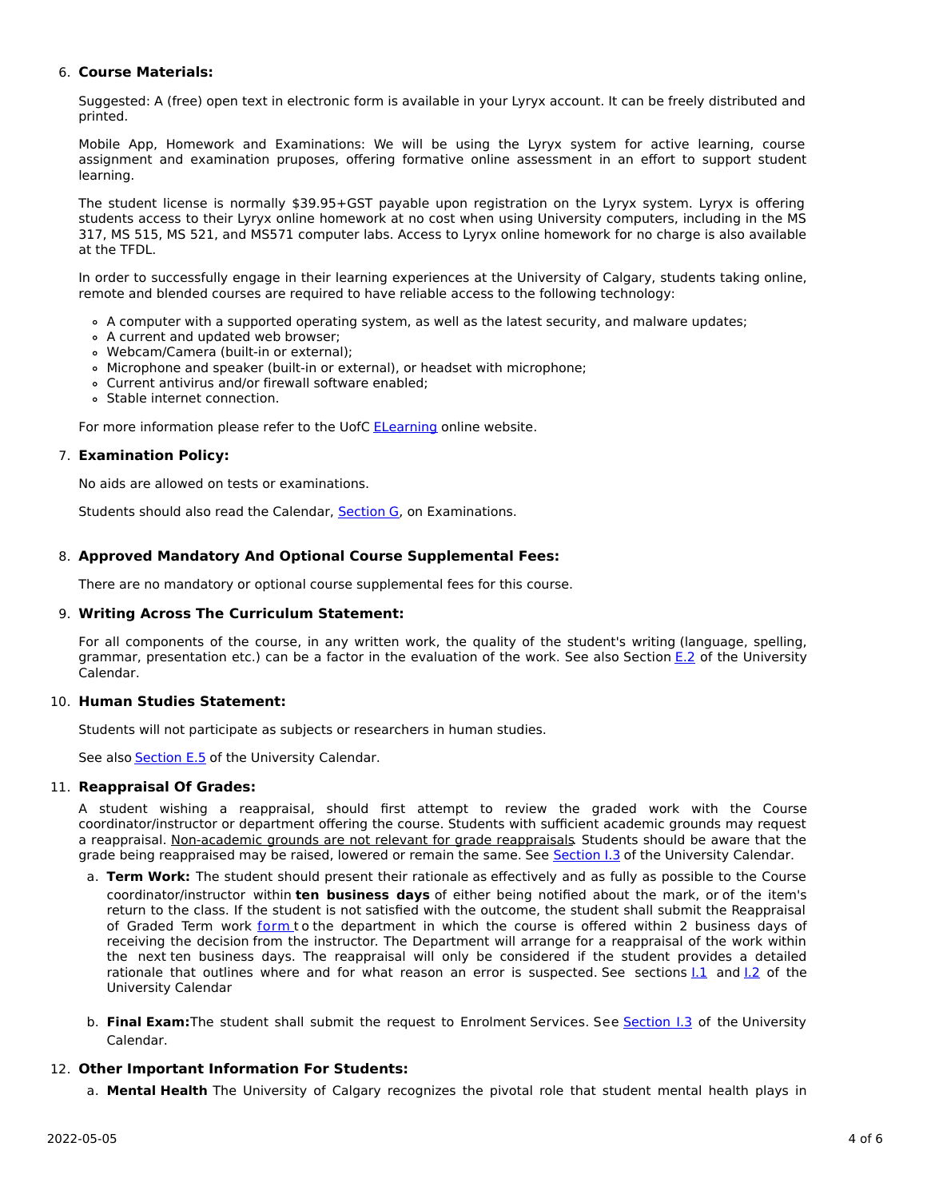# 6. **Course Materials:**

Suggested: A (free) open text in electronic form is available in your Lyryx account. It can be freely distributed and printed.

Mobile App, Homework and Examinations: We will be using the Lyryx system for active learning, course assignment and examination pruposes, offering formative online assessment in an effort to support student learning.

The student license is normally \$39.95+GST payable upon registration on the Lyryx system. Lyryx is offering students access to their Lyryx online homework at no cost when using University computers, including in the MS 317, MS 515, MS 521, and MS571 computer labs. Access to Lyryx online homework for no charge is also available at the TFDL.

In order to successfully engage in their learning experiences at the University of Calgary, students taking online, remote and blended courses are required to have reliable access to the following technology:

- A computer with a supported operating system, as well as the latest security, and malware updates;
- A current and updated web browser;
- Webcam/Camera (built-in or external);
- Microphone and speaker (built-in or external), or headset with microphone;
- Current antivirus and/or firewall software enabled;
- Stable internet connection.

For more information please refer to the UofC [ELearning](https://elearn.ucalgary.ca/technology-requirements-for-students) online website.

### 7. **Examination Policy:**

No aids are allowed on tests or examinations.

Students should also read the Calendar, [Section](http://www.ucalgary.ca/pubs/calendar/current/g.html) G, on Examinations.

# 8. **Approved Mandatory And Optional Course Supplemental Fees:**

There are no mandatory or optional course supplemental fees for this course.

# 9. **Writing Across The Curriculum Statement:**

For all components of the course, in any written work, the quality of the student's writing (language, spelling, grammar, presentation etc.) can be a factor in the evaluation of the work. See also Section [E.2](http://www.ucalgary.ca/pubs/calendar/current/e-2.html) of the University Calendar.

#### 10. **Human Studies Statement:**

Students will not participate as subjects or researchers in human studies.

See also **[Section](http://www.ucalgary.ca/pubs/calendar/current/e-5.html) E.5** of the University Calendar.

# 11. **Reappraisal Of Grades:**

A student wishing a reappraisal, should first attempt to review the graded work with the Course coordinator/instructor or department offering the course. Students with sufficient academic grounds may request a reappraisal. Non-academic grounds are not relevant for grade reappraisals. Students should be aware that the grade being reappraised may be raised, lowered or remain the same. See [Section](http://www.ucalgary.ca/pubs/calendar/current/i-3.html) I.3 of the University Calendar.

- a. **Term Work:** The student should present their rationale as effectively and as fully as possible to the Course coordinator/instructor within **ten business days** of either being notified about the mark, or of the item's return to the class. If the student is not satisfied with the outcome, the student shall submit the Reappraisal of Graded Term work [form](https://science.ucalgary.ca/sites/default/files/teams/1/Reappraisal_Termwork_2021.pdf) to the department in which the course is offered within 2 business days of receiving the decision from the instructor. The Department will arrange for a reappraisal of the work within the next ten business days. The reappraisal will only be considered if the student provides a detailed rationale that outlines where and for what reason an error is suspected. See sections  $1.1$  and  $1.2$  of the University Calendar
- b. **Final Exam:**The student shall submit the request to Enrolment Services. See [Section](http://www.ucalgary.ca/pubs/calendar/current/i-3.html) I.3 of the University Calendar.

# 12. **Other Important Information For Students:**

a. **Mental Health** The University of Calgary recognizes the pivotal role that student mental health plays in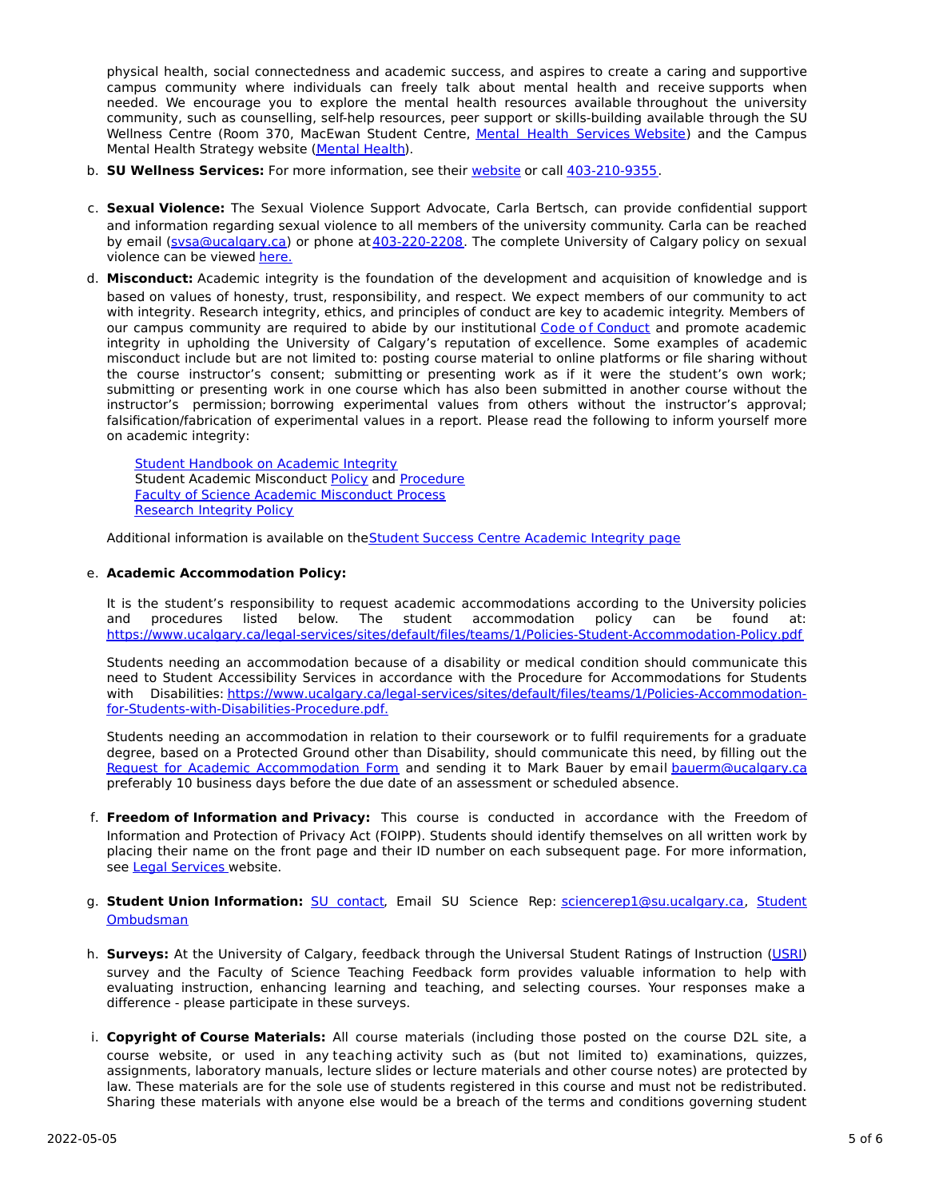physical health, social connectedness and academic success, and aspires to create a caring and supportive campus community where individuals can freely talk about mental health and receive supports when needed. We encourage you to explore the mental health resources available throughout the university community, such as counselling, self-help resources, peer support or skills-building available through the SU Wellness Centre (Room 370, MacEwan Student Centre, Mental Health [Services](https://www.ucalgary.ca/wellnesscentre/services/mental-health-services) Website) and the Campus Mental Health Strategy website [\(Mental](http://www.ucalgary.ca/mentalhealth) Health).

- b. **SU Wellness Services:** For more information, see their [website](http://www.ucalgary.ca/wellnesscentre) or call [403-210-9355](tel:4032109355).
- c. **Sexual Violence:** The Sexual Violence Support Advocate, Carla Bertsch, can provide confidential support and information regarding sexual violence to all members of the university community. Carla can be reached by email [\(svsa@ucalgary.ca](mailto:svsa@ucalgary.ca)) or phone at [403-220-2208](tel:4032202208). The complete University of Calgary policy on sexual violence can be viewed [here.](https://www.ucalgary.ca/legal-services/sites/default/files/teams/1/Policies-Sexual-and-Gender-Based-Violence-Policy.pdf)
- d. **Misconduct:** Academic integrity is the foundation of the development and acquisition of knowledge and is based on values of honesty, trust, responsibility, and respect. We expect members of our community to act with integrity. Research integrity, ethics, and principles of conduct are key to academic integrity. Members of our campus community are required to abide by our institutional Code of [Conduct](https://www.ucalgary.ca/legal-services/sites/default/files/teams/1/Policies-Code-of-Conduct.pdf) and promote academic integrity in upholding the University of Calgary's reputation of excellence. Some examples of academic misconduct include but are not limited to: posting course material to online platforms or file sharing without the course instructor's consent; submitting or presenting work as if it were the student's own work; submitting or presenting work in one course which has also been submitted in another course without the instructor's permission; borrowing experimental values from others without the instructor's approval; falsification/fabrication of experimental values in a report. Please read the following to inform yourself more on academic integrity:

Student [Handbook](https://www.ucalgary.ca/live-uc-ucalgary-site/sites/default/files/teams/9/AI-Student-handbook-1.pdf) on Academic Integrity Student Academic Misconduct [Policy](https://www.ucalgary.ca/legal-services/sites/default/files/teams/1/Policies-Student-Academic-Misconduct-Policy.pdf) and [Procedure](https://www.ucalgary.ca/legal-services/sites/default/files/teams/1/Policies-Student-Academic-Misconduct-Procedure.pdf) Faculty of Science Academic [Misconduct](https://science.ucalgary.ca/current-students/undergraduate/program-advising) Process [Research](https://www.ucalgary.ca/legal-services/sites/default/files/teams/1/Policies-Research-Integrity-Policy.pdf) Integrity Policy

Additional information is available on the Student Success Centre [Academic](https://ucalgary.ca/student-services/student-success/learning/academic-integrity) Integrity page

# e. **Academic Accommodation Policy:**

It is the student's responsibility to request academic accommodations according to the University policies and procedures listed below. The student accommodation policy can be found at: <https://www.ucalgary.ca/legal-services/sites/default/files/teams/1/Policies-Student-Accommodation-Policy.pdf>

Students needing an accommodation because of a disability or medical condition should communicate this need to Student Accessibility Services in accordance with the Procedure for Accommodations for Students with Disabilities: [https://www.ucalgary.ca/legal-services/sites/default/files/teams/1/Policies-Accommodation](https://www.ucalgary.ca/legal-services/sites/default/files/teams/1/Policies-Accommodation-for-Students-with-Disabilities-Procedure.pdf)for-Students-with-Disabilities-Procedure.pdf.

Students needing an accommodation in relation to their coursework or to fulfil requirements for a graduate degree, based on a Protected Ground other than Disability, should communicate this need, by filling out the Request for Academic [Accommodation](https://science.ucalgary.ca/sites/default/files/teams/1/request-accommodation-academic-courses.pdf) Form and sending it to Mark Bauer by email [bauerm@ucalgary.ca](mailto:bauerm@ucalgary.ca) preferably 10 business days before the due date of an assessment or scheduled absence.

- f. **Freedom of Information and Privacy:** This course is conducted in accordance with the Freedom of Information and Protection of Privacy Act (FOIPP). Students should identify themselves on all written work by placing their name on the front page and their ID number on each subsequent page. For more information, see Legal [Services](https://www.ucalgary.ca/legal-services/access-information-privacy) website.
- g. **Student Union Information:** SU [contact,](http://www.su.ucalgary.ca/contact) Email SU Science Rep: [sciencerep1@su.ucalgary.c](mailto:sciencerep1@su.ucalgary.ca)[a,](https://www.ucalgary.ca/student-services/ombuds) Student Ombudsman
- h. **Surveys:** At the University of Calgary, feedback through the Universal Student Ratings of Instruction [\(USRI](http://www.ucalgary.ca/usri)) survey and the Faculty of Science Teaching Feedback form provides valuable information to help with evaluating instruction, enhancing learning and teaching, and selecting courses. Your responses make a difference - please participate in these surveys.
- i. **Copyright of Course Materials:** All course materials (including those posted on the course D2L site, a course website, or used in any teaching activity such as (but not limited to) examinations, quizzes, assignments, laboratory manuals, lecture slides or lecture materials and other course notes) are protected by law. These materials are for the sole use of students registered in this course and must not be redistributed. Sharing these materials with anyone else would be a breach of the terms and conditions governing student